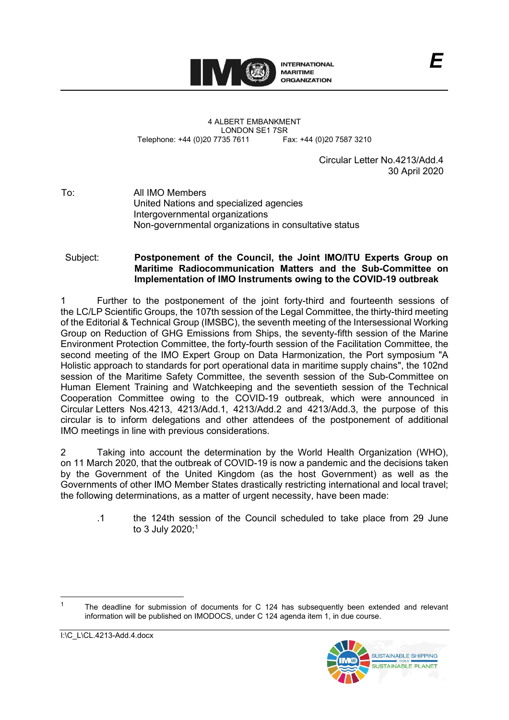

4 ALBERT EMBANKMENT LONDON SE1 7SR<br>735 7611 Fax: +44 (0)20 7587 3210 Telephone: +44 (0)20 7735 7611

> Circular Letter No.4213/Add.4 30 April 2020

To: All IMO Members United Nations and specialized agencies Intergovernmental organizations Non-governmental organizations in consultative status

## Subject: **Postponement of the Council, the Joint IMO/ITU Experts Group on Maritime Radiocommunication Matters and the Sub-Committee on Implementation of IMO Instruments owing to the COVID-19 outbreak**

1 Further to the postponement of the joint forty-third and fourteenth sessions of the LC/LP Scientific Groups, the 107th session of the Legal Committee, the thirty-third meeting of the Editorial & Technical Group (IMSBC), the seventh meeting of the Intersessional Working Group on Reduction of GHG Emissions from Ships, the seventy-fifth session of the Marine Environment Protection Committee, the forty-fourth session of the Facilitation Committee, the second meeting of the IMO Expert Group on Data Harmonization, the Port symposium "A Holistic approach to standards for port operational data in maritime supply chains", the 102nd session of the Maritime Safety Committee, the seventh session of the Sub-Committee on Human Element Training and Watchkeeping and the seventieth session of the Technical Cooperation Committee owing to the COVID-19 outbreak, which were announced in Circular Letters Nos.4213, 4213/Add.1, 4213/Add.2 and 4213/Add.3, the purpose of this circular is to inform delegations and other attendees of the postponement of additional IMO meetings in line with previous considerations.

2 Taking into account the determination by the World Health Organization (WHO), on 11 March 2020, that the outbreak of COVID-19 is now a pandemic and the decisions taken by the Government of the United Kingdom (as the host Government) as well as the Governments of other IMO Member States drastically restricting international and local travel; the following determinations, as a matter of urgent necessity, have been made:

.1 the 124th session of the Council scheduled to take place from 29 June to 3 July 2020; [1](#page-0-0)



<span id="page-0-0"></span><sup>&</sup>lt;sup>1</sup> The deadline for submission of documents for C 124 has subsequently been extended and relevant information will be published on IMODOCS, under C 124 agenda item 1, in due course.